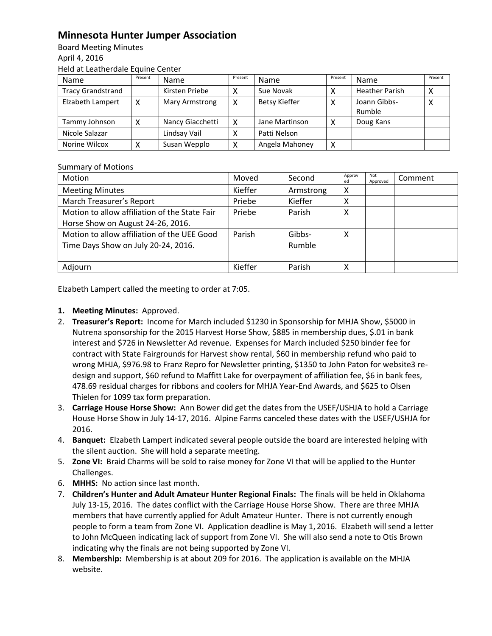## **Minnesota Hunter Jumper Association**

Board Meeting Minutes April 4, 2016 Held at Leatherdale Equine Center

| Name                     | Present | <b>Name</b>      | Present | Name                 | Present | Name                   | Present |
|--------------------------|---------|------------------|---------|----------------------|---------|------------------------|---------|
| <b>Tracy Grandstrand</b> |         | Kirsten Priebe   | χ       | Sue Novak            |         | <b>Heather Parish</b>  | ́       |
| Elzabeth Lampert         | х       | Mary Armstrong   | x       | <b>Betsy Kieffer</b> | х       | Joann Gibbs-<br>Rumble | х       |
| Tammy Johnson            | χ       | Nancy Giacchetti | x       | Jane Martinson       | х       | Doug Kans              |         |
| Nicole Salazar           |         | Lindsay Vail     |         | Patti Nelson         |         |                        |         |
| Norine Wilcox            |         | Susan Wepplo     | х       | Angela Mahoney       | х       |                        |         |

## Summary of Motions

| <b>Motion</b>                                 | Moved   | Second    | Approv<br>ed | Not<br>Approved | Comment |
|-----------------------------------------------|---------|-----------|--------------|-----------------|---------|
| <b>Meeting Minutes</b>                        | Kieffer | Armstrong | Х            |                 |         |
| March Treasurer's Report                      | Priebe  | Kieffer   | х            |                 |         |
| Motion to allow affiliation of the State Fair | Priebe  | Parish    | X            |                 |         |
| Horse Show on August 24-26, 2016.             |         |           |              |                 |         |
| Motion to allow affiliation of the UEE Good   | Parish  | Gibbs-    | χ            |                 |         |
| Time Days Show on July 20-24, 2016.           |         | Rumble    |              |                 |         |
|                                               |         |           |              |                 |         |
| Adjourn                                       | Kieffer | Parish    | χ            |                 |         |

Elzabeth Lampert called the meeting to order at 7:05.

## **1. Meeting Minutes:** Approved.

- 2. **Treasurer's Report:** Income for March included \$1230 in Sponsorship for MHJA Show, \$5000 in Nutrena sponsorship for the 2015 Harvest Horse Show, \$885 in membership dues, \$.01 in bank interest and \$726 in Newsletter Ad revenue. Expenses for March included \$250 binder fee for contract with State Fairgrounds for Harvest show rental, \$60 in membership refund who paid to wrong MHJA, \$976.98 to Franz Repro for Newsletter printing, \$1350 to John Paton for website3 redesign and support, \$60 refund to Maffitt Lake for overpayment of affiliation fee, \$6 in bank fees, 478.69 residual charges for ribbons and coolers for MHJA Year-End Awards, and \$625 to Olsen Thielen for 1099 tax form preparation.
- 3. **Carriage House Horse Show:** Ann Bower did get the dates from the USEF/USHJA to hold a Carriage House Horse Show in July 14-17, 2016. Alpine Farms canceled these dates with the USEF/USHJA for 2016.
- 4. **Banquet:** Elzabeth Lampert indicated several people outside the board are interested helping with the silent auction. She will hold a separate meeting.
- 5. **Zone VI:** Braid Charms will be sold to raise money for Zone VI that will be applied to the Hunter Challenges.
- 6. **MHHS:** No action since last month.
- 7. **Children's Hunter and Adult Amateur Hunter Regional Finals:** The finals will be held in Oklahoma July 13-15, 2016. The dates conflict with the Carriage House Horse Show. There are three MHJA members that have currently applied for Adult Amateur Hunter. There is not currently enough people to form a team from Zone VI. Application deadline is May 1, 2016. Elzabeth will send a letter to John McQueen indicating lack of support from Zone VI. She will also send a note to Otis Brown indicating why the finals are not being supported by Zone VI.
- 8. **Membership:** Membership is at about 209 for 2016. The application is available on the MHJA website.